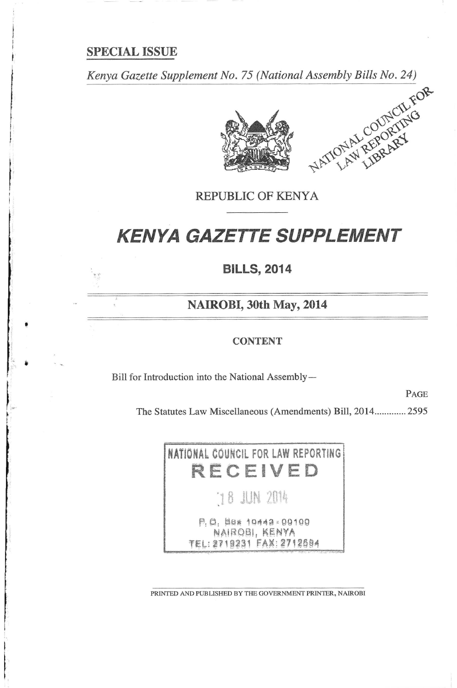# **SPECIAL ISSUE**

Kenya Gazette Supplement No. 75 (National Assembly Bills No. 24)



REPUBLIC OF KENYA

# **KENYA GAZETTE SUPPLEMENT**

**BILLS, 2014** 

NAIROBI, 30th May, 2014

## **CONTENT**

Bill for Introduction into the National Assembly-

PAGE

The Statutes Law Miscellaneous (Amendments) Bill, 2014............. 2595



PRINTED AND PUBLISHED BY THE GOVERNMENT PRINTER, NAIROBI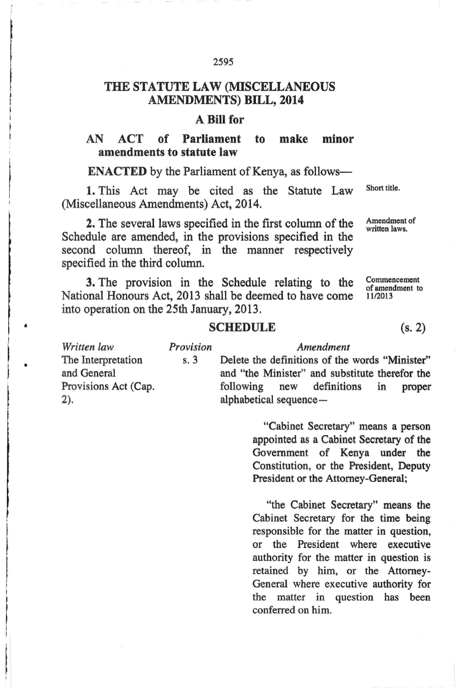### 2595

# THE STATUTE LAW (MISCELLANEOUS **AMENDMENTS) BILL, 2014**

# A Bill for

#### Parliament minor AN  $ACT$  of to make amendments to statute law

**ENACTED** by the Parliament of Kenya, as follows-

1. This Act may be cited as the Statute Law (Miscellaneous Amendments) Act, 2014.

2. The several laws specified in the first column of the Schedule are amended, in the provisions specified in the second column thereof, in the manner respectively specified in the third column.

3. The provision in the Schedule relating to the Commencement of amendment to National Honours Act, 2013 shall be deemed to have come 11/2013 into operation on the 25th January, 2013.

# **SCHEDULE**

Provision Written law Amendment The Interpretation  $s.3$ Delete the definitions of the words "Minister" and General and "the Minister" and substitute therefor the Provisions Act (Cap. following new definitions in proper  $2)$ . alphabetical sequence-

> "Cabinet Secretary" means a person appointed as a Cabinet Secretary of the Government of Kenya under the Constitution, or the President. Deputy President or the Attorney-General;

> "the Cabinet Secretary" means the Cabinet Secretary for the time being responsible for the matter in question, or the President where executive authority for the matter in question is retained by him, or the Attorney-General where executive authority for the matter in question has been conferred on him.

Short title.

Amendment of written laws.

 $(s, 2)$